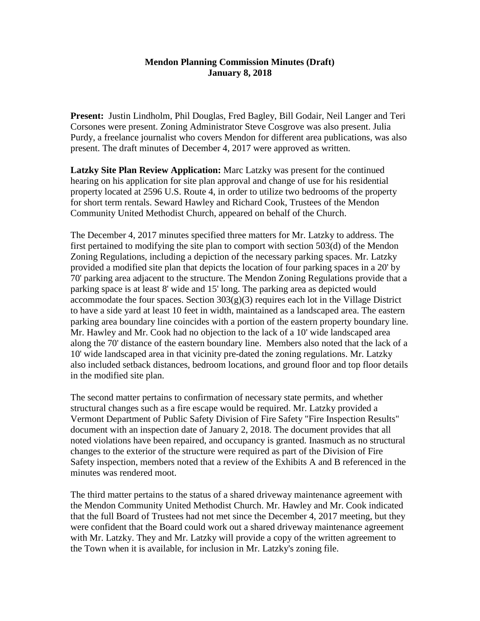## **Mendon Planning Commission Minutes (Draft) January 8, 2018**

**Present:** Justin Lindholm, Phil Douglas, Fred Bagley, Bill Godair, Neil Langer and Teri Corsones were present. Zoning Administrator Steve Cosgrove was also present. Julia Purdy, a freelance journalist who covers Mendon for different area publications, was also present. The draft minutes of December 4, 2017 were approved as written.

**Latzky Site Plan Review Application:** Marc Latzky was present for the continued hearing on his application for site plan approval and change of use for his residential property located at 2596 U.S. Route 4, in order to utilize two bedrooms of the property for short term rentals. Seward Hawley and Richard Cook, Trustees of the Mendon Community United Methodist Church, appeared on behalf of the Church.

The December 4, 2017 minutes specified three matters for Mr. Latzky to address. The first pertained to modifying the site plan to comport with section 503(d) of the Mendon Zoning Regulations, including a depiction of the necessary parking spaces. Mr. Latzky provided a modified site plan that depicts the location of four parking spaces in a 20' by 70' parking area adjacent to the structure. The Mendon Zoning Regulations provide that a parking space is at least 8' wide and 15' long. The parking area as depicted would accommodate the four spaces. Section  $303(g)(3)$  requires each lot in the Village District to have a side yard at least 10 feet in width, maintained as a landscaped area. The eastern parking area boundary line coincides with a portion of the eastern property boundary line. Mr. Hawley and Mr. Cook had no objection to the lack of a 10' wide landscaped area along the 70' distance of the eastern boundary line. Members also noted that the lack of a 10' wide landscaped area in that vicinity pre-dated the zoning regulations. Mr. Latzky also included setback distances, bedroom locations, and ground floor and top floor details in the modified site plan.

The second matter pertains to confirmation of necessary state permits, and whether structural changes such as a fire escape would be required. Mr. Latzky provided a Vermont Department of Public Safety Division of Fire Safety "Fire Inspection Results" document with an inspection date of January 2, 2018. The document provides that all noted violations have been repaired, and occupancy is granted. Inasmuch as no structural changes to the exterior of the structure were required as part of the Division of Fire Safety inspection, members noted that a review of the Exhibits A and B referenced in the minutes was rendered moot.

The third matter pertains to the status of a shared driveway maintenance agreement with the Mendon Community United Methodist Church. Mr. Hawley and Mr. Cook indicated that the full Board of Trustees had not met since the December 4, 2017 meeting, but they were confident that the Board could work out a shared driveway maintenance agreement with Mr. Latzky. They and Mr. Latzky will provide a copy of the written agreement to the Town when it is available, for inclusion in Mr. Latzky's zoning file.